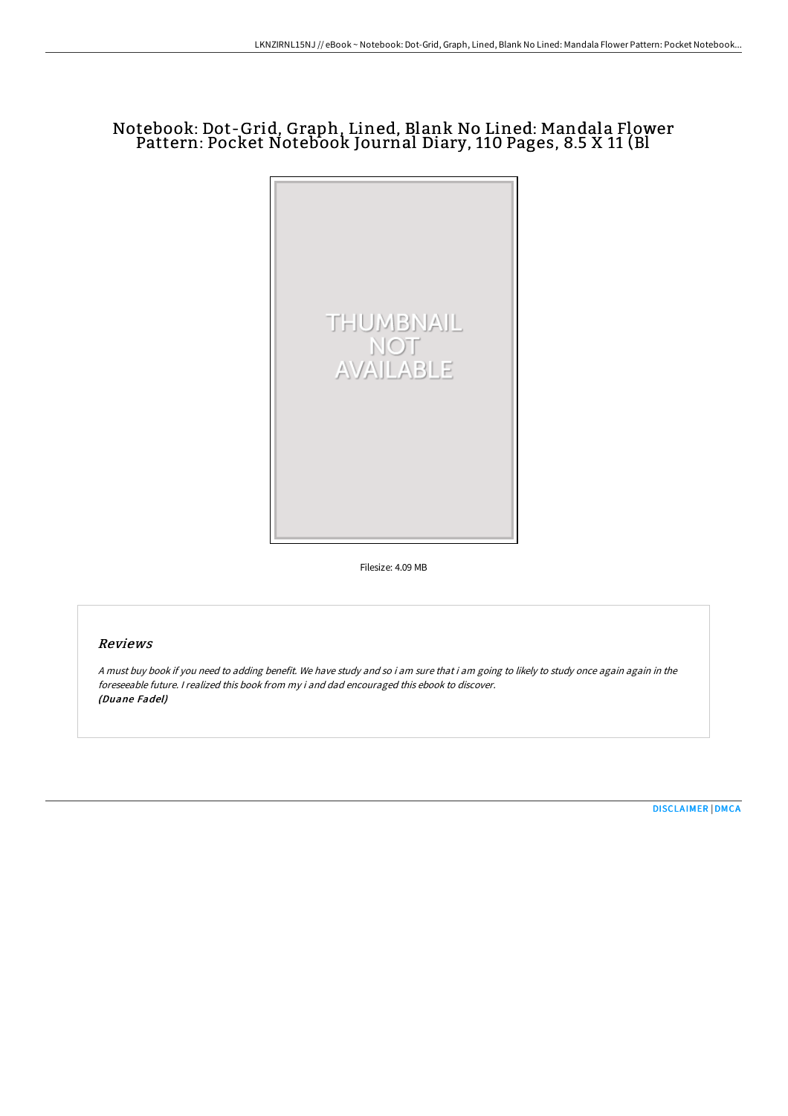# Notebook: Dot-Grid, Graph, Lined, Blank No Lined: Mandala Flower Pattern: Pocket Notebook Journal Diary, 110 Pages, 8.5 X 11 (Bl



Filesize: 4.09 MB

## Reviews

<sup>A</sup> must buy book if you need to adding benefit. We have study and so i am sure that i am going to likely to study once again again in the foreseeable future. <sup>I</sup> realized this book from my i and dad encouraged this ebook to discover. (Duane Fadel)

[DISCLAIMER](http://albedo.media/disclaimer.html) | [DMCA](http://albedo.media/dmca.html)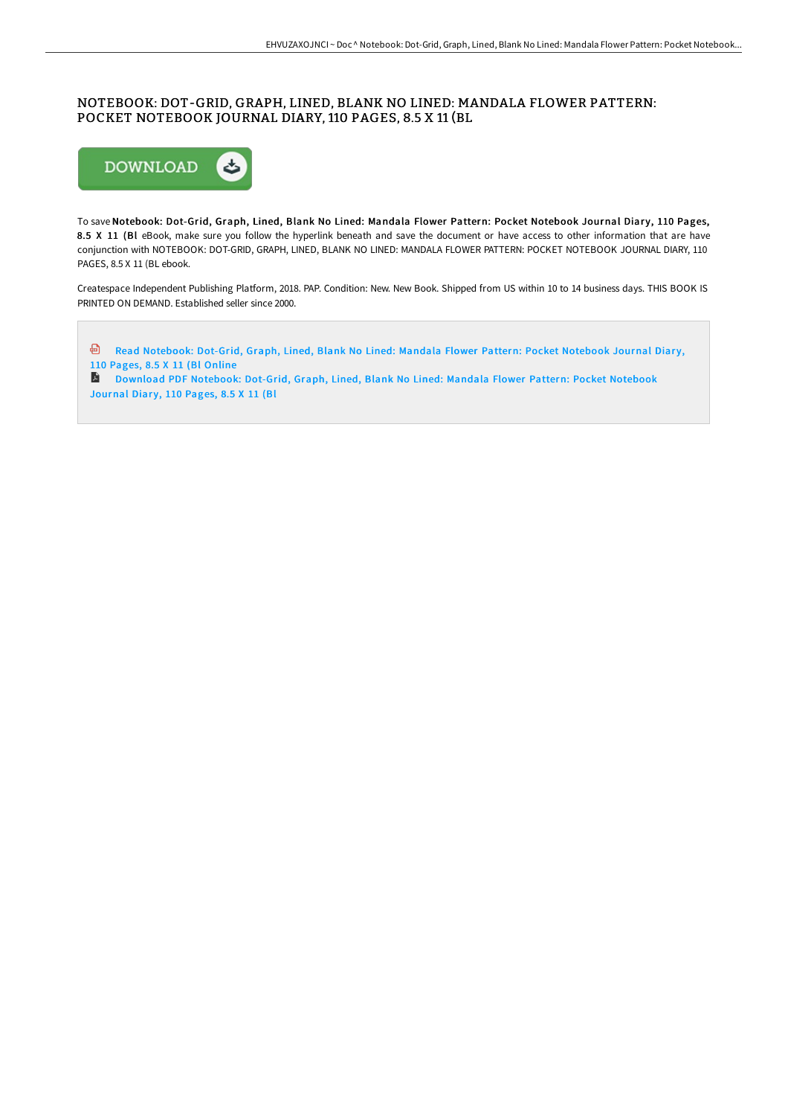### NOTEBOOK: DOT-GRID, GRAPH, LINED, BLANK NO LINED: MANDALA FLOWER PATTERN: POCKET NOTEBOOK JOURNAL DIARY, 110 PAGES, 8.5 X 11 (BL



To save Notebook: Dot-Grid, Graph, Lined, Blank No Lined: Mandala Flower Pattern: Pocket Notebook Journal Diary, 110 Pages, 8.5 X 11 (Bl eBook, make sure you follow the hyperlink beneath and save the document or have access to other information that are have conjunction with NOTEBOOK: DOT-GRID, GRAPH, LINED, BLANK NO LINED: MANDALA FLOWER PATTERN: POCKET NOTEBOOK JOURNAL DIARY, 110 PAGES, 8.5 X 11 (BL ebook.

Createspace Independent Publishing Platform, 2018. PAP. Condition: New. New Book. Shipped from US within 10 to 14 business days. THIS BOOK IS PRINTED ON DEMAND. Established seller since 2000.